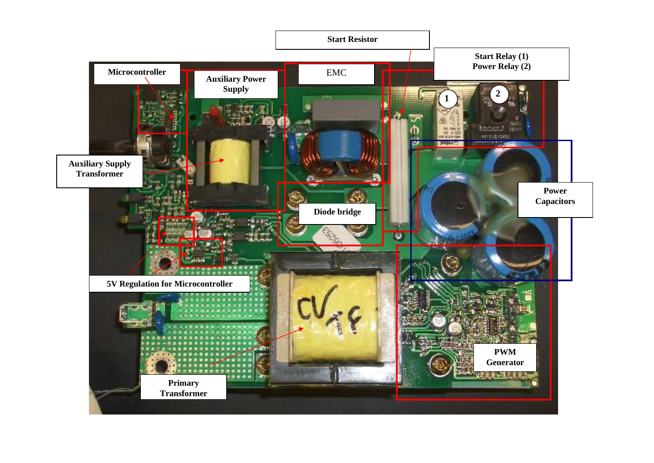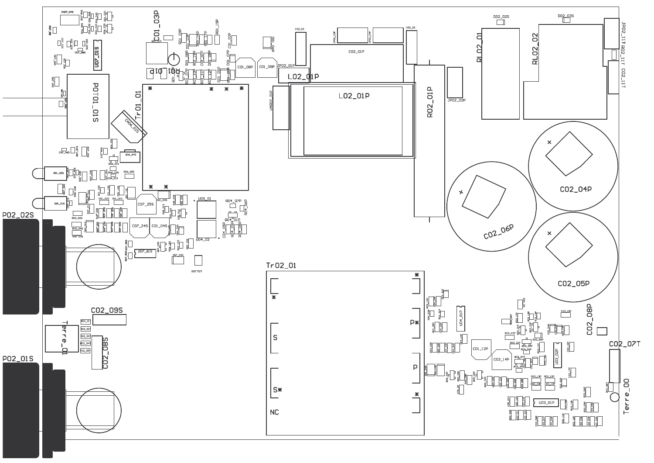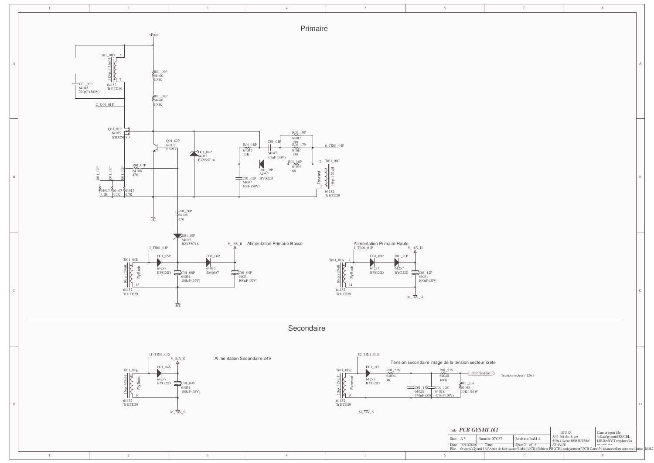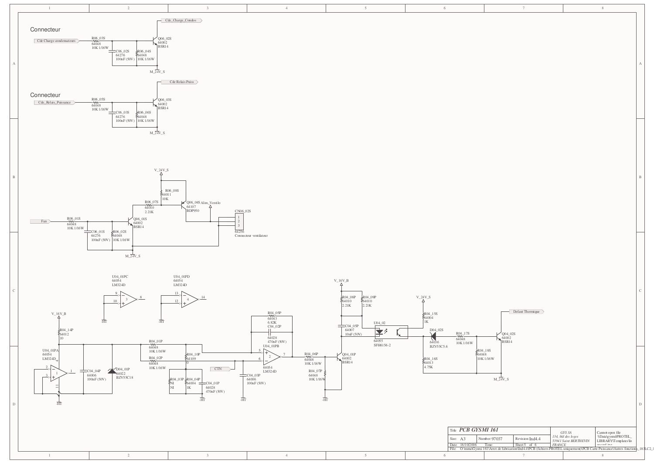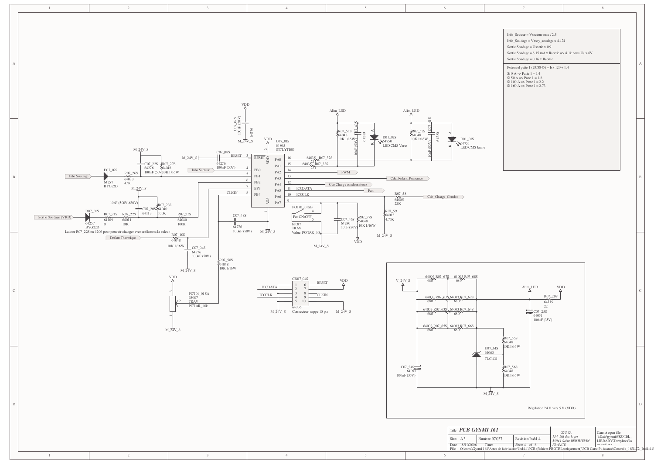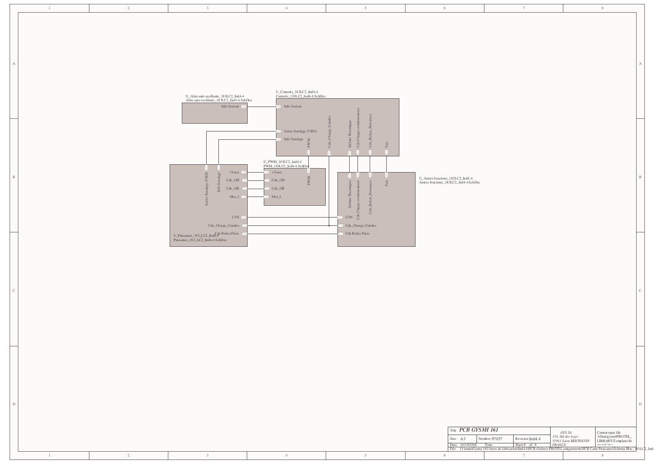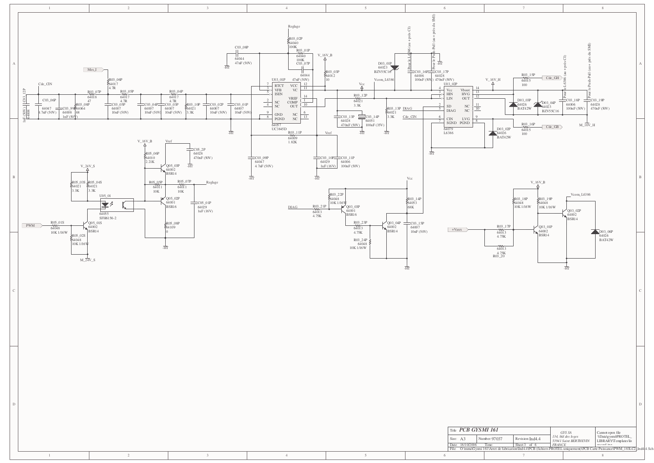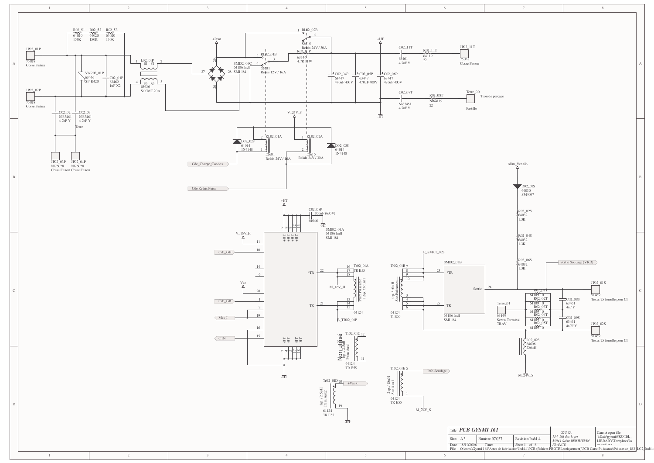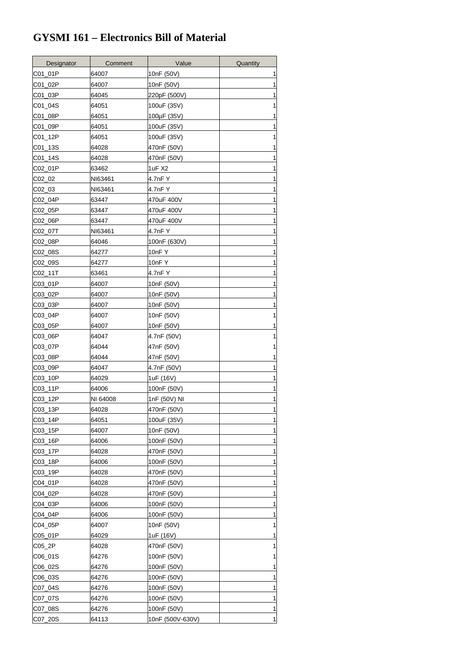## **GYSMI 161 – Electronics Bill of Material**

| Designator | Comment  | Value            | Quantity     |
|------------|----------|------------------|--------------|
| C01 01P    | 64007    | 10nF (50V)       |              |
| C01 02P    | 64007    | 10nF (50V)       | 1            |
| C01_03P    | 64045    | 220pF (500V)     | 1            |
| C01_04S    | 64051    | 100uF (35V)      | 1            |
| C01 08P    | 64051    | 100µF (35V)      | 1            |
| C01_09P    | 64051    | 100uF (35V)      | 1            |
| C01_12P    | 64051    | 100uF (35V)      | 1            |
| C01_13S    | 64028    | 470nF (50V)      |              |
| C01_14S    | 64028    | 470nF (50V)      | 1            |
| C02 01P    | 63462    | 1uF X2           | 1            |
| C02_02     | NI63461  | 4.7nF Y          | 1            |
| C02_03     | NI63461  | 4.7nF Y          | 1            |
| C02_04P    | 63447    | 470uF 400V       | 1            |
| C02_05P    | 63447    | 470uF 400V       | 1            |
| C02_06P    | 63447    | 470uF 400V       | 1            |
| C02_07T    | NI63461  | 4.7nF Y          |              |
| C02 08P    | 64046    | 100nF (630V)     | 1            |
| C02_08S    | 64277    | 10nFY            | 1            |
| C02_09S    | 64277    | 10nF Y           | 1            |
| C02_11T    | 63461    | 4.7nF Y          | 1            |
| C03_01P    | 64007    | 10nF (50V)       | 1            |
| C03_02P    | 64007    | 10nF (50V)       | 1            |
| C03_03P    | 64007    | 10nF (50V)       | 1            |
| C03_04P    | 64007    | 10nF (50V)       |              |
| C03_05P    | 64007    | 10nF (50V)       | 1            |
| C03_06P    | 64047    | 4.7nF (50V)      | 1            |
| C03_07P    | 64044    | 47nF (50V)       |              |
| C03_08P    | 64044    | 47nF (50V)       |              |
| C03_09P    | 64047    | 4.7nF (50V)      | 1            |
| C03_10P    | 64029    | 1uF (16V)        |              |
| C03_11P    | 64006    | 100nF (50V)      |              |
| C03_12P    | NI 64008 | 1nF (50V) NI     | 1            |
| C03_13P    | 64028    | 470nF (50V)      | 1            |
| C03_14P    | 64051    | 100uF (35V)      | 1            |
| C03_15P    | 64007    | 10nF (50V)       | 1            |
| C03_16P    | 64006    | 100nF (50V)      | 1            |
| C03_17P    | 64028    | 470nF (50V)      | 1            |
| C03_18P    | 64006    | 100nF (50V)      | 1            |
| C03_19P    | 64028    | 470nF (50V)      | 1            |
| C04_01P    | 64028    | 470nF (50V)      | 1            |
| C04_02P    | 64028    | 470nF (50V)      | 1            |
| C04_03P    | 64006    | 100nF (50V)      | 1            |
| C04_04P    | 64006    | 100nF (50V)      | 1            |
| C04_05P    | 64007    | 10nF (50V)       | 1            |
| C05_01P    | 64029    | 1uF (16V)        | 1            |
| C05_2P     | 64028    | 470nF (50V)      | 1            |
| C06_01S    | 64276    | 100nF (50V)      | 1            |
| C06_02S    | 64276    | 100nF (50V)      | 1            |
| C06_03S    | 64276    | 100nF (50V)      | 1            |
| C07_04S    | 64276    | 100nF (50V)      | 1            |
| C07_07S    | 64276    | 100nF (50V)      | 1            |
| C07_08S    | 64276    | 100nF (50V)      | 1            |
| C07_20S    | 64113    | 10nF (500V-630V) | $\mathbf{1}$ |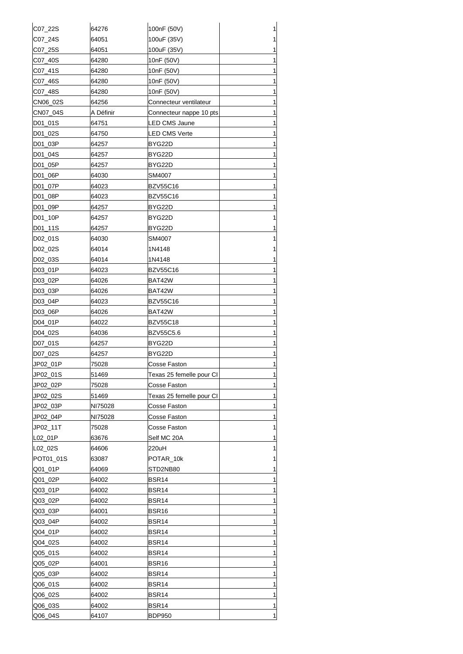| C07_22S   | 64276     | 100nF (50V)              | 1 |
|-----------|-----------|--------------------------|---|
| C07_24S   | 64051     | 100uF (35V)              | 1 |
| C07_25S   | 64051     | 100uF (35V)              | 1 |
| C07_40S   | 64280     | 10nF (50V)               | 1 |
| C07_41S   | 64280     | 10nF (50V)               | 1 |
| C07_46S   | 64280     | 10nF (50V)               | 1 |
| C07_48S   | 64280     | 10nF (50V)               | 1 |
| CN06_02S  | 64256     | Connecteur ventilateur   | 1 |
| CN07_04S  | A Définir | Connecteur nappe 10 pts  | 1 |
| D01_01S   | 64751     | LED CMS Jaune            | 1 |
| D01_02S   | 64750     | LED CMS Verte            | 1 |
| D01_03P   | 64257     | BYG22D                   | 1 |
| D01_04S   | 64257     | BYG22D                   | 1 |
|           |           |                          | 1 |
| D01_05P   | 64257     | BYG22D                   |   |
| D01_06P   | 64030     | SM4007                   | 1 |
| D01 07P   | 64023     | <b>BZV55C16</b>          | 1 |
| D01_08P   | 64023     | <b>BZV55C16</b>          | 1 |
| D01_09P   | 64257     | BYG22D                   | 1 |
| D01_10P   | 64257     | BYG22D                   | 1 |
| D01_11S   | 64257     | BYG22D                   | 1 |
| D02_01S   | 64030     | SM4007                   | 1 |
| D02_02S   | 64014     | 1N4148                   | 1 |
| D02_03S   | 64014     | 1N4148                   | 1 |
| D03_01P   | 64023     | BZV55C16                 | 1 |
| D03_02P   | 64026     | BAT42W                   | 1 |
| D03_03P   | 64026     | BAT42W                   | 1 |
| D03_04P   | 64023     | BZV55C16                 | 1 |
| D03_06P   | 64026     | BAT42W                   | 1 |
| D04_01P   | 64022     | <b>BZV55C18</b>          | 1 |
| D04_02S   | 64036     | BZV55C5.6                | 1 |
| D07_01S   | 64257     | BYG22D                   | 1 |
| D07_02S   | 64257     | BYG22D                   | 1 |
| JP02_01P  | 75028     | Cosse Faston             | 1 |
| JP02_01S  | 51469     | Texas 25 femelle pour CI | 1 |
| JP02_02P  | 75028     | Cosse Faston             | 1 |
| JP02_02S  | 51469     | Texas 25 femelle pour CI | 1 |
| JP02_03P  | NI75028   | Cosse Faston             | 1 |
| JP02_04P  | NI75028   | Cosse Faston             | 1 |
| JP02_11T  | 75028     | Cosse Faston             | 1 |
| L02_01P   | 63676     | Self MC 20A              | 1 |
| L02_02S   | 64606     | 220uH                    | 1 |
| POT01_01S | 63087     | POTAR_10k                | 1 |
| Q01_01P   | 64069     | STD2NB80                 | 1 |
| Q01_02P   | 64002     | BSR14                    | 1 |
| Q03_01P   | 64002     | <b>BSR14</b>             | 1 |
| Q03_02P   | 64002     | <b>BSR14</b>             | 1 |
| Q03_03P   | 64001     | <b>BSR16</b>             | 1 |
| Q03_04P   | 64002     | <b>BSR14</b>             | 1 |
| Q04_01P   | 64002     | <b>BSR14</b>             | 1 |
| Q04_02S   | 64002     | <b>BSR14</b>             | 1 |
| Q05_01S   | 64002     | BSR14                    | 1 |
| Q05_02P   | 64001     | BSR <sub>16</sub>        | 1 |
| Q05_03P   | 64002     | <b>BSR14</b>             | 1 |
| Q06_01S   | 64002     | <b>BSR14</b>             | 1 |
|           | 64002     | <b>BSR14</b>             |   |
| Q06_02S   |           |                          | 1 |
| Q06_03S   | 64002     | <b>BSR14</b>             | 1 |
| Q06_04S   | 64107     | <b>BDP950</b>            | 1 |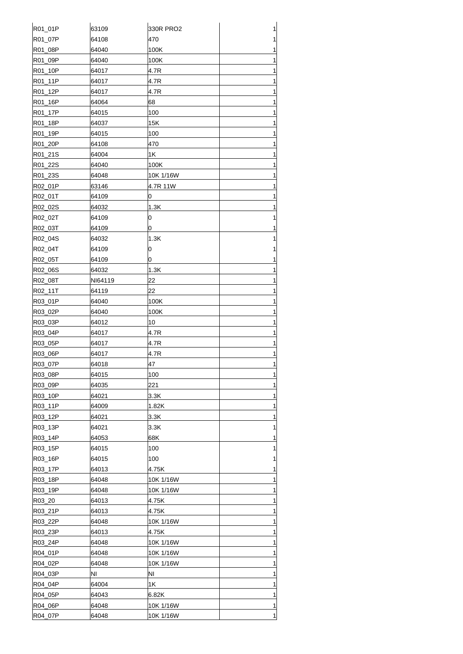| R01_01P | 63109          | 330R PRO2 | 1 |
|---------|----------------|-----------|---|
| R01_07P | 64108          | 470       | 1 |
| R01_08P | 64040          | 100K      | 1 |
| R01_09P | 64040          | 100K      | 1 |
| R01_10P | 64017          | 4.7R      | 1 |
| R01_11P | 64017          | 4.7R      | 1 |
| R01_12P | 64017          | 4.7R      | 1 |
| R01_16P | 64064          | 68        | 1 |
| R01_17P | 64015          | 100       | 1 |
| R01_18P | 64037          | 15K       | 1 |
| R01 19P | 64015          | 100       | 1 |
| R01_20P | 64108          | 470       | 1 |
| R01_21S | 64004          | 1K        | 1 |
| R01_22S | 64040          | 100K      | 1 |
| R01_23S | 64048          | 10K 1/16W | 1 |
| R02_01P | 63146          | 4.7R 11W  | 1 |
| R02_01T | 64109          | 0         | 1 |
| R02_02S | 64032          | 1.3K      | 1 |
| R02_02T | 64109          | 0         | 1 |
|         |                |           |   |
| R02_03T | 64109<br>64032 | 0         | 1 |
| R02_04S |                | 1.3K      | 1 |
| R02_04T | 64109          | 0         | 1 |
| R02_05T | 64109          | 0         | 1 |
| R02_06S | 64032          | 1.3K      | 1 |
| R02_08T | NI64119        | 22        | 1 |
| R02_11T | 64119          | 22        | 1 |
| R03_01P | 64040          | 100K      | 1 |
| R03_02P | 64040          | 100K      | 1 |
| R03_03P | 64012          | 10        | 1 |
| R03_04P | 64017          | 4.7R      | 1 |
| R03_05P | 64017          | 4.7R      | 1 |
| R03_06P | 64017          | 4.7R      | 1 |
| R03_07P | 64018          | 47        | 1 |
| R03_08P | 64015          | 100       | 1 |
| R03_09P | 64035          | 221       | 1 |
| R03_10P | 64021          | 3.3K      | 1 |
| R03_11P | 64009          | 1.82K     | 1 |
| R03 12P | 64021          | 3.3K      | 1 |
| R03 13P | 64021          | 3.3K      | 1 |
| R03_14P | 64053          | 68K       | 1 |
| R03 15P | 64015          | 100       | 1 |
| R03_16P | 64015          | 100       | 1 |
| R03_17P | 64013          | 4.75K     | 1 |
| R03_18P | 64048          | 10K 1/16W | 1 |
| R03_19P | 64048          | 10K 1/16W | 1 |
| R03_20  | 64013          | 4.75K     | 1 |
| R03_21P | 64013          | 4.75K     | 1 |
| R03_22P | 64048          | 10K 1/16W | 1 |
| R03_23P | 64013          | 4.75K     | 1 |
| R03_24P | 64048          | 10K 1/16W | 1 |
| R04_01P | 64048          | 10K 1/16W | 1 |
| R04_02P | 64048          | 10K 1/16W | 1 |
| R04_03P | ΝI             | ΝI        | 1 |
| R04_04P | 64004          | 1Κ        | 1 |
| R04_05P | 64043          | 6.82K     | 1 |
| R04_06P | 64048          | 10K 1/16W | 1 |
| R04_07P | 64048          | 10K 1/16W | 1 |
|         |                |           |   |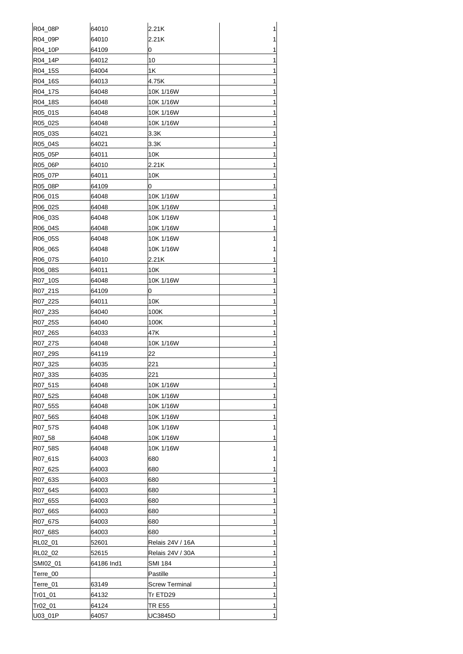|                    | 64010          | 2.21K                  |        |
|--------------------|----------------|------------------------|--------|
| R04_08P            |                |                        | 1      |
| R04_09P            | 64010          | 2.21K                  | 1      |
| R04_10P            | 64109          | 0                      | 1      |
| R04_14P            | 64012          | 10                     | 1      |
| R04_15S            | 64004          | 1K                     | 1      |
| R04_16S            | 64013          | 4.75K                  | 1      |
| R04_17S            | 64048          | 10K 1/16W              | 1      |
| R04_18S            | 64048          | 10K 1/16W              | 1      |
| R05_01S            | 64048          | 10K 1/16W              | 1      |
| R05_02S            | 64048          | 10K 1/16W              | 1      |
| R05_03S            | 64021          | 3.3K                   | 1      |
| R05_04S<br>R05_05P | 64021          | 3.3K<br>10K            | 1      |
|                    | 64011          |                        | 1      |
| R05_06P            | 64010          | 2.21K                  | 1      |
| R05_07P            | 64011          | 10K                    | 1      |
| R05_08P            | 64109          | 0                      | 1      |
| R06_01S            | 64048          | 10K 1/16W              | 1<br>1 |
| R06 02S<br>R06 03S | 64048<br>64048 | 10K 1/16W              | 1      |
|                    |                | 10K 1/16W              | 1      |
| R06_04S<br>R06_05S | 64048<br>64048 | 10K 1/16W<br>10K 1/16W | 1      |
|                    | 64048          |                        | 1      |
| R06_06S            | 64010          | 10K 1/16W<br>2.21K     | 1      |
| R06_07S            |                | 10K                    | 1      |
| R06_08S<br>R07_10S | 64011<br>64048 | 10K 1/16W              | 1      |
| R07_21S            | 64109          | 0                      | 1      |
| R07_22S            | 64011          | 10K                    | 1      |
| R07_23S            | 64040          | 100K                   | 1      |
| R07_25S            | 64040          | 100K                   | 1      |
| R07_26S            | 64033          | 47K                    | 1      |
| R07 27S            | 64048          | 10K 1/16W              | 1      |
| R07_29S            | 64119          | 22                     | 1      |
| R07_32S            | 64035          | 221                    | 1      |
| R07_33S            | 64035          | 221                    | 1      |
| R07 51S            | 64048          | 10K 1/16W              | 1      |
| R07_52S            | 64048          | 10K 1/16W              | 1      |
| R07_55S            | 64048          | 10K 1/16W              | 1      |
| R07_56S            | 64048          | 10K 1/16W              | 1      |
| R07 57S            | 64048          | 10K 1/16W              | 1      |
| R07_58             | 64048          | 10K 1/16W              | 1      |
| R07_58S            | 64048          | 10K 1/16W              | 1      |
| R07_61S            | 64003          | 680                    | 1      |
| R07_62S            | 64003          | 680                    | 1      |
| R07_63S            | 64003          | 680                    | 1      |
| R07_64S            | 64003          | 680                    | 1      |
| R07_65S            | 64003          | 680                    | 1      |
| R07_66S            | 64003          | 680                    | 1      |
| R07_67S            | 64003          | 680                    | 1      |
| R07_68S            | 64003          | 680                    | 1      |
| RL02_01            | 52601          | Relais 24V / 16A       | 1      |
| RL02_02            | 52615          | Relais 24V / 30A       | 1      |
| SMI02_01           | 64186 Ind1     | SMI 184                | 1      |
| Terre_00           |                | Pastille               | 1      |
| Terre_01           | 63149          | Screw Terminal         | 1      |
| Tr01_01            | 64132          | Tr ETD29               | 1      |
| Tr02_01            | 64124          | TR E55                 | 1      |
| U03_01P            | 64057          | UC3845D                | 1      |